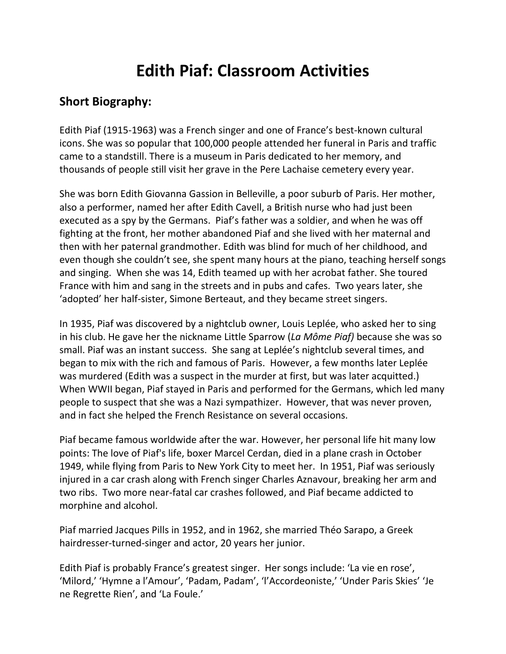# **Edith Piaf: Classroom Activities**

#### **Short Biography:**

Edith Piaf (1915-1963) was a French singer and one of France's best-known cultural icons. She was so popular that 100,000 people attended her funeral in Paris and traffic came to a standstill. There is a museum in Paris dedicated to her memory, and thousands of people still visit her grave in the Pere Lachaise cemetery every year.

She was born Edith Giovanna Gassion in Belleville, a poor suburb of Paris. Her mother, also a performer, named her after Edith Cavell, a British nurse who had just been executed as a spy by the Germans. Piaf's father was a soldier, and when he was off fighting at the front, her mother abandoned Piaf and she lived with her maternal and then with her paternal grandmother. Edith was blind for much of her childhood, and even though she couldn't see, she spent many hours at the piano, teaching herself songs and singing. When she was 14, Edith teamed up with her acrobat father. She toured France with him and sang in the streets and in pubs and cafes. Two years later, she 'adopted' her half-sister, Simone Berteaut, and they became street singers.

In 1935, Piaf was discovered by a nightclub owner, Louis Leplée, who asked her to sing in his club. He gave her the nickname Little Sparrow (*La Môme Piaf)* because she was so small. Piaf was an instant success. She sang at Leplée's nightclub several times, and began to mix with the rich and famous of Paris. However, a few months later Leplée was murdered (Edith was a suspect in the murder at first, but was later acquitted.) When WWII began, Piaf stayed in Paris and performed for the Germans, which led many people to suspect that she was a Nazi sympathizer. However, that was never proven, and in fact she helped the French Resistance on several occasions.

Piaf became famous worldwide after the war. However, her personal life hit many low points: The love of Piaf's life, boxer Marcel Cerdan, died in a plane crash in October 1949, while flying from Paris to New York City to meet her. In 1951, Piaf was seriously injured in a car crash along with French singer Charles Aznavour, breaking her arm and two ribs. Two more near-fatal car crashes followed, and Piaf became addicted to morphine and alcohol.

Piaf married Jacques Pills in 1952, and in 1962, she married Théo Sarapo, a Greek hairdresser-turned-singer and actor, 20 years her junior.

Edith Piaf is probably France's greatest singer. Her songs include: 'La vie en rose', 'Milord,' 'Hymne a l'Amour', 'Padam, Padam', 'l'Accordeoniste,' 'Under Paris Skies' 'Je ne Regrette Rien', and 'La Foule.'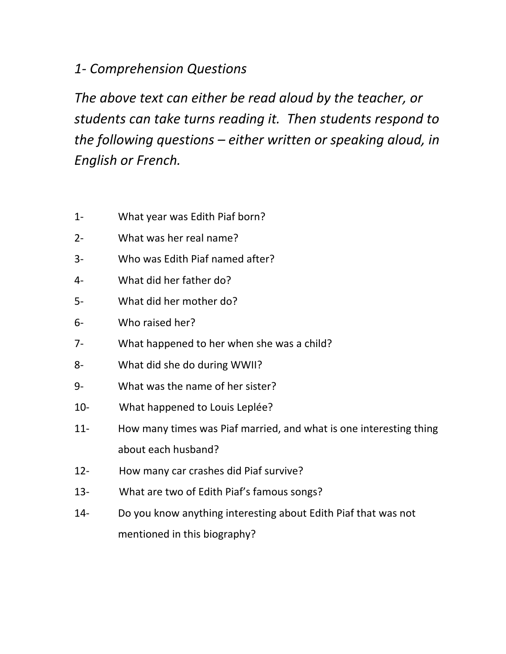### *1- Comprehension Questions*

*The above text can either be read aloud by the teacher, or students can take turns reading it. Then students respond to the following questions – either written or speaking aloud, in English or French.*

- 1- What year was Edith Piaf born?
- 2- What was her real name?
- 3- Who was Edith Piaf named after?
- 4- What did her father do?
- 5- What did her mother do?
- 6- Who raised her?
- 7- What happened to her when she was a child?
- 8- What did she do during WWII?
- 9- What was the name of her sister?
- 10- What happened to Louis Leplée?
- 11- How many times was Piaf married, and what is one interesting thing about each husband?
- 12- How many car crashes did Piaf survive?
- 13- What are two of Edith Piaf's famous songs?
- 14- Do you know anything interesting about Edith Piaf that was not mentioned in this biography?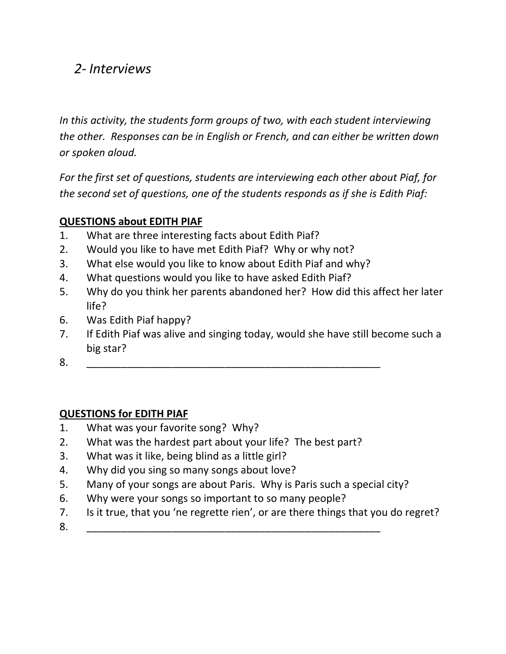### *2- Interviews*

*In this activity, the students form groups of two, with each student interviewing the other. Responses can be in English or French, and can either be written down or spoken aloud.*

*For the first set of questions, students are interviewing each other about Piaf, for the second set of questions, one of the students responds as if she is Edith Piaf:*

#### **QUESTIONS about EDITH PIAF**

- 1. What are three interesting facts about Edith Piaf?
- 2. Would you like to have met Edith Piaf? Why or why not?
- 3. What else would you like to know about Edith Piaf and why?
- 4. What questions would you like to have asked Edith Piaf?
- 5. Why do you think her parents abandoned her? How did this affect her later life?
- 6. Was Edith Piaf happy?
- 7. If Edith Piaf was alive and singing today, would she have still become such a big star?
- 8. \_\_\_\_\_\_\_\_\_\_\_\_\_\_\_\_\_\_\_\_\_\_\_\_\_\_\_\_\_\_\_\_\_\_\_\_\_\_\_\_\_\_\_\_\_\_\_\_\_\_\_

#### **QUESTIONS for EDITH PIAF**

- 1. What was your favorite song? Why?
- 2. What was the hardest part about your life? The best part?
- 3. What was it like, being blind as a little girl?
- 4. Why did you sing so many songs about love?
- 5. Many of your songs are about Paris. Why is Paris such a special city?
- 6. Why were your songs so important to so many people?
- 7. Is it true, that you 'ne regrette rien', or are there things that you do regret?
- 8. \_\_\_\_\_\_\_\_\_\_\_\_\_\_\_\_\_\_\_\_\_\_\_\_\_\_\_\_\_\_\_\_\_\_\_\_\_\_\_\_\_\_\_\_\_\_\_\_\_\_\_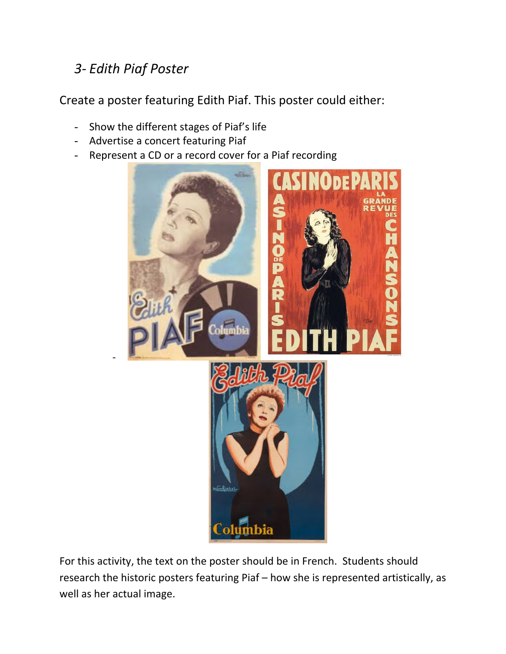## *3- Edith Piaf Poster*

-

Create a poster featuring Edith Piaf. This poster could either:

- Show the different stages of Piaf's life
- Advertise a concert featuring Piaf
- Represent a CD or a record cover for a Piaf recording



For this activity, the text on the poster should be in French. Students should research the historic posters featuring Piaf – how she is represented artistically, as well as her actual image.